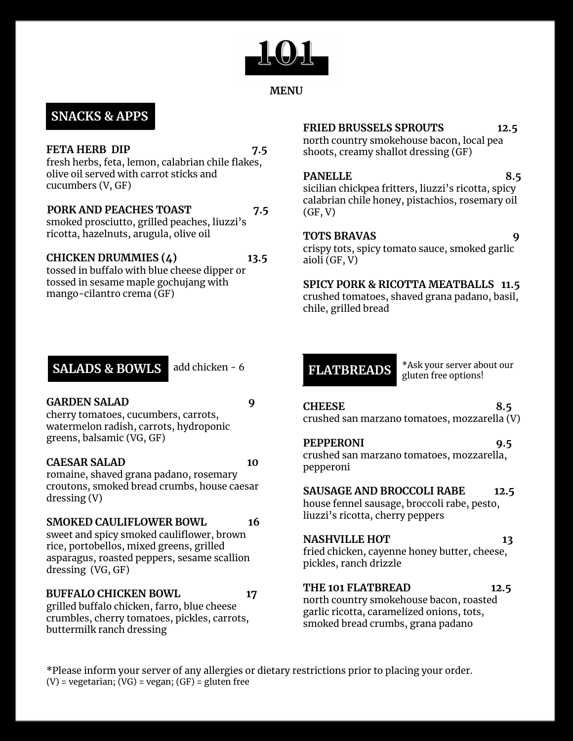### **MENU**

# **SNACKS & APPS**

## **FETA HERB DIP 7.5**

fresh herbs, feta, lemon, calabrian chile flakes, olive oil served with carrot sticks and cucumbers (V, GF)

## **PORK AND PEACHES TOAST 7.5**

smoked prosciutto, grilled peaches, liuzzi's ricotta, hazelnuts, arugula, olive oil

### **CHICKEN DRUMMIES (4) 13.5**

tossed in buffalo with blue cheese dipper or tossed in sesame maple gochujang with mango-cilantro crema (GF)

# **FRIED BRUSSELS SPROUTS 12.5**

north country smokehouse bacon, local pea shoots, creamy shallot dressing (GF)

**PANELLE 8.5** sicilian chickpea fritters, liuzzi's ricotta, spicy calabrian chile honey, pistachios, rosemary oil  $(GF, V)$ 

### **TOTS BRAVAS 9**

crispy tots, spicy tomato sauce, smoked garlic aioli (GF, V)

**SPICY PORK & RICOTTA MEATBALLS 11.5** crushed tomatoes, shaved grana padano, basil, chile, grilled bread

# **SALADS & BOWLS** add chicken - 6

## **GARDEN SALAD 9**

cherry tomatoes, cucumbers, carrots, watermelon radish, carrots, hydroponic greens, balsamic (VG, GF)

## **CAESAR SALAD 10**

romaine, shaved grana padano, rosemary croutons, smoked bread crumbs, house caesar dressing (V)

# **SMOKED CAULIFLOWER BOWL 16**

sweet and spicy smoked cauliflower, brown rice, portobellos, mixed greens, grilled asparagus, roasted peppers, sesame scallion dressing (VG, GF)

# **BUFFALO CHICKEN BOWL 17**

grilled buffalo chicken, farro, blue cheese crumbles, cherry tomatoes, pickles, carrots, buttermilk ranch dressing

**FLATBREADS**

\*Ask your server about our gluten free options!

**CHEESE 8.5** crushed san marzano tomatoes, mozzarella (V)

# **PEPPERONI 9.5**

crushed san marzano tomatoes, mozzarella, pepperoni

**SAUSAGE AND BROCCOLI RABE 12.5**

house fennel sausage, broccoli rabe, pesto, liuzzi's ricotta, cherry peppers

# **NASHVILLE HOT 13**

fried chicken, cayenne honey butter, cheese, pickles, ranch drizzle

# **THE 101 FLATBREAD 12.5**

north country smokehouse bacon, roasted garlic ricotta, caramelized onions, tots, smoked bread crumbs, grana padano

\*Please inform your server of any allergies or dietary restrictions prior to placing your order.  $(V)$  = vegetarian;  $(VG)$  = vegan;  $(GF)$  = gluten free